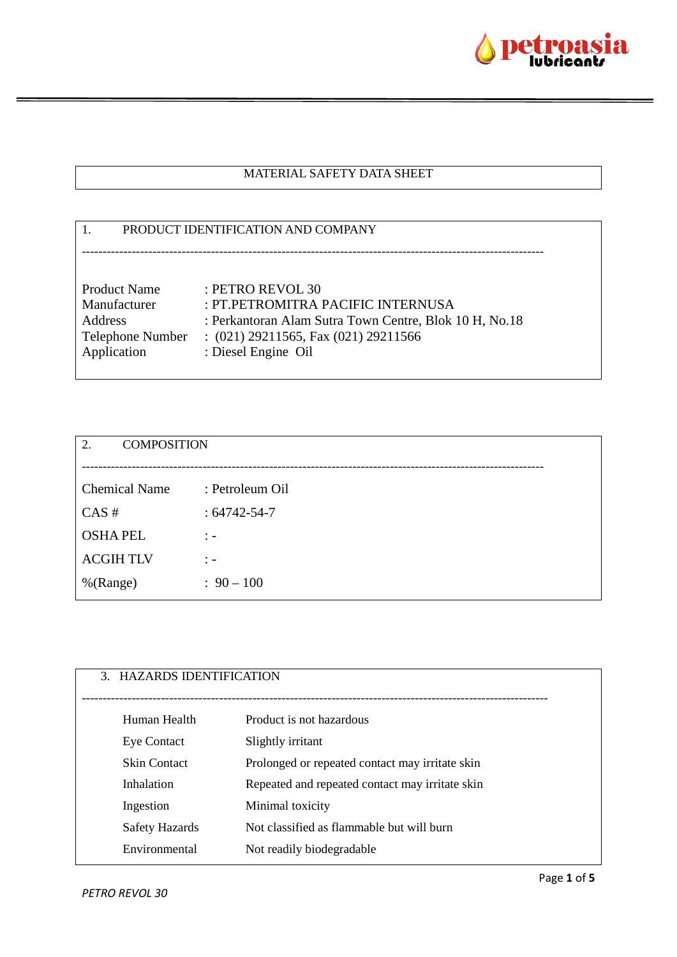

### MATERIAL SAFETY DATA SHEET

# 1. PRODUCT IDENTIFICATION AND COMPANY --------------------------------------------------------------------------------------------------------------- Product Name : PETRO REVOL 30 Manufacturer : PT.PETROMITRA PACIFIC INTERNUSA Address : Perkantoran Alam Sutra Town Centre, Blok 10 H, No.18 Telephone Number : (021) 29211565, Fax (021) 29211566 Application : Diesel Engine Oil

| 2.<br><b>COMPOSITION</b> |                   |
|--------------------------|-------------------|
|                          |                   |
| <b>Chemical Name</b>     | : Petroleum Oil   |
| CAS#                     | $:64742 - 54 - 7$ |
| <b>OSHAPEL</b>           | $\therefore$      |
| <b>ACGIHTLV</b>          | $\therefore$      |
| %(Range)                 | $: 90 - 100$      |
|                          |                   |

| 3. HAZARDS IDENTIFICATION |                                                 |
|---------------------------|-------------------------------------------------|
| Human Health              | Product is not hazardous                        |
| <b>Eye Contact</b>        | Slightly irritant                               |
| <b>Skin Contact</b>       | Prolonged or repeated contact may irritate skin |
| Inhalation                | Repeated and repeated contact may irritate skin |
| Ingestion                 | Minimal toxicity                                |
| Safety Hazards            | Not classified as flammable but will burn       |
| Environmental             | Not readily biodegradable                       |
|                           |                                                 |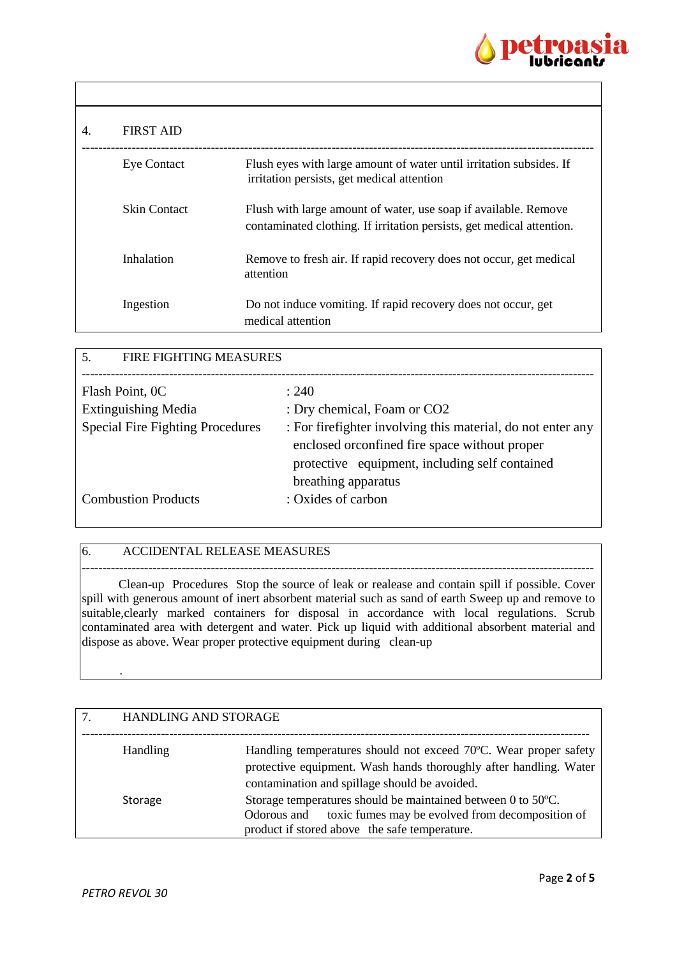

| 4. | <b>FIRST AID</b>    |                                                                                                                                          |
|----|---------------------|------------------------------------------------------------------------------------------------------------------------------------------|
|    | <b>Eye Contact</b>  | Flush eyes with large amount of water until irritation subsides. If<br>irritation persists, get medical attention                        |
|    | <b>Skin Contact</b> | Flush with large amount of water, use soap if available. Remove<br>contaminated clothing. If irritation persists, get medical attention. |
|    | Inhalation          | Remove to fresh air. If rapid recovery does not occur, get medical<br>attention                                                          |
|    | Ingestion           | Do not induce vomiting. If rapid recovery does not occur, get<br>medical attention                                                       |

| <b>FIRE FIGHTING MEASURES</b><br>.5.    |                                                              |
|-----------------------------------------|--------------------------------------------------------------|
|                                         |                                                              |
| Flash Point, OC                         | : 240                                                        |
| <b>Extinguishing Media</b>              | : Dry chemical, Foam or CO2                                  |
| <b>Special Fire Fighting Procedures</b> | : For fire fighter involving this material, do not enter any |
|                                         | enclosed or<br>confined fire space without proper            |
|                                         | protective equipment, including self contained               |
|                                         | breathing apparatus                                          |
| <b>Combustion Products</b>              | : Oxides of carbon                                           |
|                                         |                                                              |

### 6. ACCIDENTAL RELEASE MEASURES

--------------------------------------------------------------------------------------------------------------------------- Clean-up Procedures Stop the source of leak or realease and contain spill if possible. Cover spill with generous amount of inert absorbent material such as sand of earth Sweep up and remove to suitable, clearly marked containers for disposal in accordance with local regulations. Scrub contaminated area with detergent and water. Pick up liquid with additional absorbent material and dispose as above. Wear proper protective equipment during clean-up

| <b>HANDLING AND STORAGE</b> |                                                                                                                                                                                        |
|-----------------------------|----------------------------------------------------------------------------------------------------------------------------------------------------------------------------------------|
| <b>Handling</b>             | Handling temperatures should not exceed 70°C. Wear proper safety<br>protective equipment. Wash hands thoroughly after handling. Water<br>contamination and spillage should be avoided. |
| Storage                     | Storage temperatures should be maintained between 0 to 50°C.<br>toxic fumes may be evolved from decomposition of<br>Odorous and<br>product if stored above the safe temperature.       |

.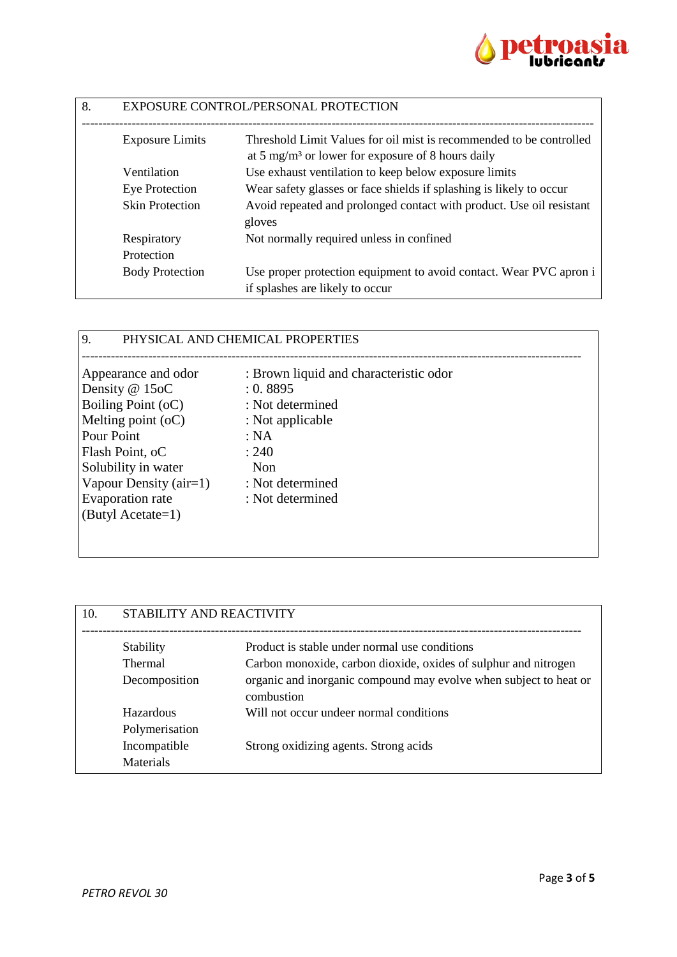

| 8. | EXPOSURE CONTROL/PERSONAL PROTECTION |                                                                                                       |
|----|--------------------------------------|-------------------------------------------------------------------------------------------------------|
|    | <b>Exposure Limits</b>               | Threshold Limit Values for oil mist is recommended to be controlled                                   |
|    |                                      | at 5 mg/m <sup>3</sup> or lower for exposure of 8 hours daily                                         |
|    | Ventilation                          | Use exhaust ventilation to keep below exposure limits                                                 |
|    | Eye Protection                       | Wear safety glasses or face shields if splashing is likely to occur                                   |
|    | <b>Skin Protection</b>               | Avoid repeated and prolonged contact with product. Use oil resistant<br>gloves                        |
|    | Respiratory                          | Not normally required unless in confined                                                              |
|    | Protection                           |                                                                                                       |
|    | <b>Body Protection</b>               | Use proper protection equipment to avoid contact. Wear PVC apron i<br>if splashes are likely to occur |

## 9. PHYSICAL AND CHEMICAL PROPERTIES

| Appearance and odor    | : Brown liquid and characteristic odor |
|------------------------|----------------------------------------|
| Density @ 15oC         | : 0.8895                               |
| Boiling Point (oC)     | : Not determined                       |
| Melting point $(oC)$   | : Not applicable                       |
| Pour Point             | : NA                                   |
| Flash Point, oC        | : 240                                  |
| Solubility in water    | <b>Non</b>                             |
| Vapour Density (air=1) | : Not determined                       |
| Evaporation rate       | : Not determined                       |
| (Butyl Acetate=1)      |                                        |
|                        |                                        |
|                        |                                        |

| STABILITY AND REACTIVITY |                                                                                 |
|--------------------------|---------------------------------------------------------------------------------|
| Stability                | Product is stable under normal use conditions                                   |
| <b>Thermal</b>           | Carbon monoxide, carbon dioxide, oxides of sulphur and nitrogen                 |
| Decomposition            | organic and inorganic compound may evolve when subject to heat or<br>combustion |
| Hazardous                | Will not occur undeer normal conditions                                         |
| Polymerisation           |                                                                                 |
| Incompatible             | Strong oxidizing agents. Strong acids                                           |
| <b>Materials</b>         |                                                                                 |
|                          |                                                                                 |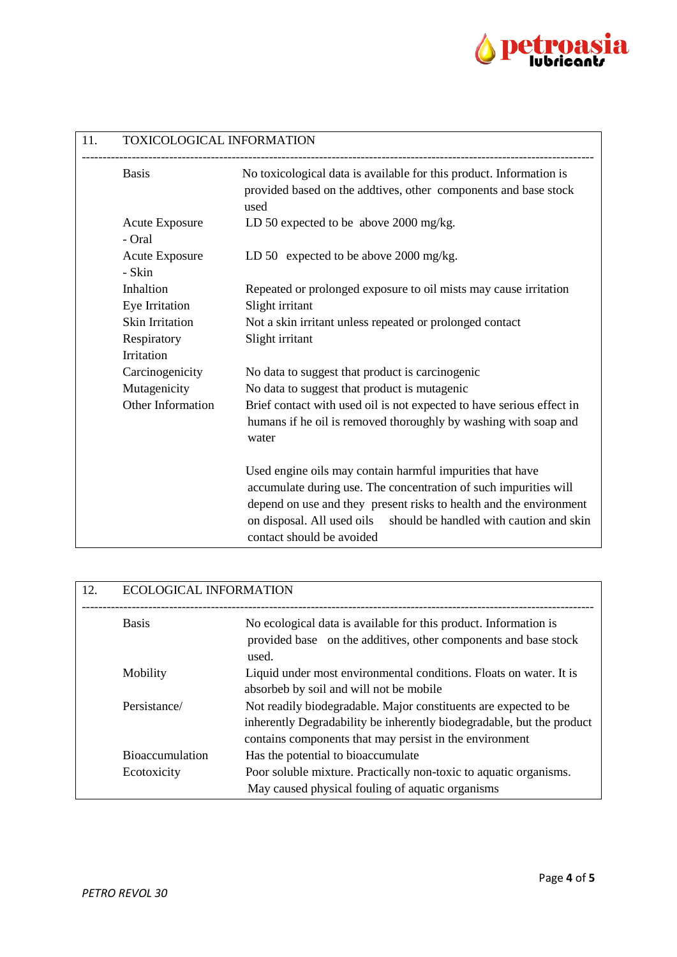

| 11. | TOXICOLOGICAL INFORMATION       |                                                                                                                                                                                                                                                                           |
|-----|---------------------------------|---------------------------------------------------------------------------------------------------------------------------------------------------------------------------------------------------------------------------------------------------------------------------|
|     | <b>Basis</b>                    | No toxicological data is available for this product. Information is<br>provided based on the addtives, other components and base stock<br>used                                                                                                                            |
|     | <b>Acute Exposure</b><br>- Oral | LD 50 expected to be above 2000 mg/kg.                                                                                                                                                                                                                                    |
|     | <b>Acute Exposure</b><br>- Skin | LD 50 expected to be above 2000 mg/kg.                                                                                                                                                                                                                                    |
|     | Inhaltion<br>Eye Irritation     | Repeated or prolonged exposure to oil mists may cause irritation<br>Slight irritant                                                                                                                                                                                       |
|     | <b>Skin Irritation</b>          | Not a skin irritant unless repeated or prolonged contact                                                                                                                                                                                                                  |
|     | Respiratory                     | Slight irritant                                                                                                                                                                                                                                                           |
|     | Irritation                      |                                                                                                                                                                                                                                                                           |
|     | Carcinogenicity                 | No data to suggest that product is carcinogenic                                                                                                                                                                                                                           |
|     | Mutagenicity                    | No data to suggest that product is mutagenic                                                                                                                                                                                                                              |
|     | Other Information               | Brief contact with used oil is not expected to have serious effect in                                                                                                                                                                                                     |
|     |                                 | humans if he oil is removed thoroughly by washing with soap and<br>water                                                                                                                                                                                                  |
|     |                                 | Used engine oils may contain harmful impurities that have<br>accumulate during use. The concentration of such impurities will<br>depend on use and they present risks to health and the environment<br>on disposal. All used oils should be handled with caution and skin |
|     |                                 | contact should be avoided                                                                                                                                                                                                                                                 |

| 12. | <b>ECOLOGICAL INFORMATION</b> |                                                                                                                                                                                                      |
|-----|-------------------------------|------------------------------------------------------------------------------------------------------------------------------------------------------------------------------------------------------|
|     | <b>Basis</b>                  | No ecological data is available for this product. Information is<br>provided base on the additives, other components and base stock<br>used.                                                         |
|     | Mobility                      | Liquid under most environmental conditions. Floats on water. It is<br>absorbeb by soil and will not be mobile                                                                                        |
|     | Persistance/                  | Not readily biodegradable. Major constituents are expected to be<br>inherently Degradability be inherently biodegradable, but the product<br>contains components that may persist in the environment |
|     | <b>Bioaccumulation</b>        | Has the potential to bioaccumulate                                                                                                                                                                   |
|     | Ecotoxicity                   | Poor soluble mixture. Practically non-toxic to aquatic organisms.<br>May caused physical fouling of aquatic organisms                                                                                |